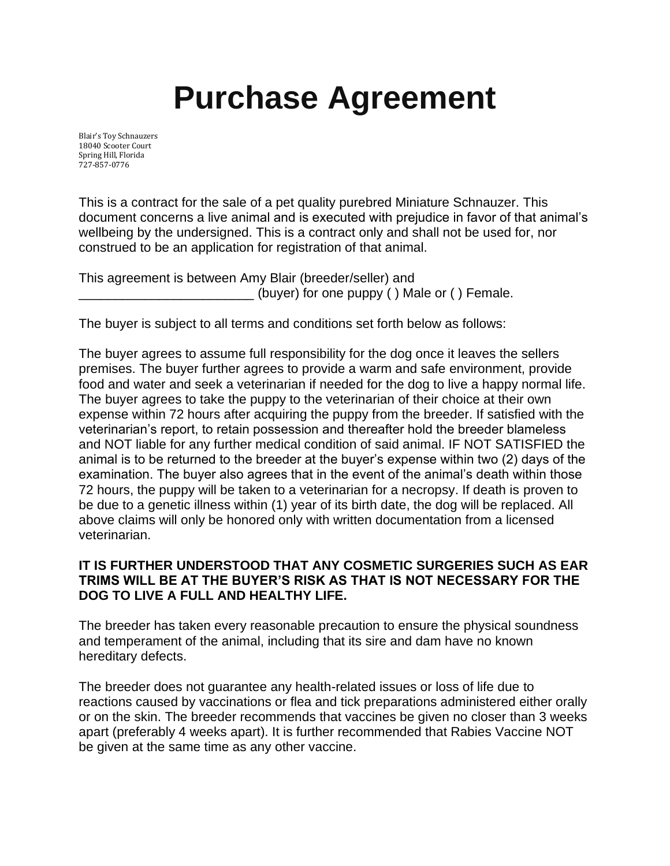## **Purchase Agreement**

Blair's Toy Schnauzers 18040 Scooter Court Spring Hill, Florida 727-857-0776

This is a contract for the sale of a pet quality purebred Miniature Schnauzer. This document concerns a live animal and is executed with prejudice in favor of that animal's wellbeing by the undersigned. This is a contract only and shall not be used for, nor construed to be an application for registration of that animal.

This agreement is between Amy Blair (breeder/seller) and (buyer) for one puppy ( ) Male or ( ) Female.

The buyer is subject to all terms and conditions set forth below as follows:

The buyer agrees to assume full responsibility for the dog once it leaves the sellers premises. The buyer further agrees to provide a warm and safe environment, provide food and water and seek a veterinarian if needed for the dog to live a happy normal life. The buyer agrees to take the puppy to the veterinarian of their choice at their own expense within 72 hours after acquiring the puppy from the breeder. If satisfied with the veterinarian's report, to retain possession and thereafter hold the breeder blameless and NOT liable for any further medical condition of said animal. IF NOT SATISFIED the animal is to be returned to the breeder at the buyer's expense within two (2) days of the examination. The buyer also agrees that in the event of the animal's death within those 72 hours, the puppy will be taken to a veterinarian for a necropsy. If death is proven to be due to a genetic illness within (1) year of its birth date, the dog will be replaced. All above claims will only be honored only with written documentation from a licensed veterinarian.

## **IT IS FURTHER UNDERSTOOD THAT ANY COSMETIC SURGERIES SUCH AS EAR TRIMS WILL BE AT THE BUYER'S RISK AS THAT IS NOT NECESSARY FOR THE DOG TO LIVE A FULL AND HEALTHY LIFE.**

The breeder has taken every reasonable precaution to ensure the physical soundness and temperament of the animal, including that its sire and dam have no known hereditary defects.

The breeder does not guarantee any health-related issues or loss of life due to reactions caused by vaccinations or flea and tick preparations administered either orally or on the skin. The breeder recommends that vaccines be given no closer than 3 weeks apart (preferably 4 weeks apart). It is further recommended that Rabies Vaccine NOT be given at the same time as any other vaccine.